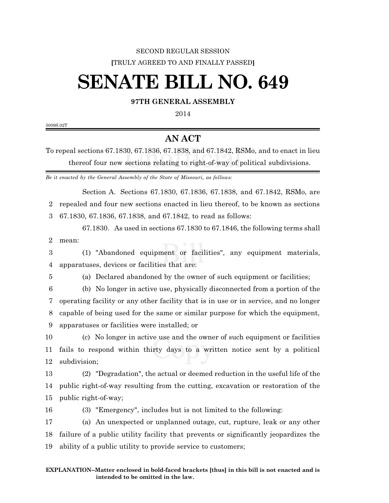## SECOND REGULAR SESSION **[**TRULY AGREED TO AND FINALLY PASSED**]**

## **SENATE BILL NO. 649**

## **97TH GENERAL ASSEMBLY**

5009S.02T

## **AN ACT**

To repeal sections 67.1830, 67.1836, 67.1838, and 67.1842, RSMo, and to enact in lieu thereof four new sections relating to right-of-way of political subdivisions.

*Be it enacted by the General Assembly of the State of Missouri, as follows:*

Section A. Sections 67.1830, 67.1836, 67.1838, and 67.1842, RSMo, are repealed and four new sections enacted in lieu thereof, to be known as sections 67.1830, 67.1836, 67.1838, and 67.1842, to read as follows:

67.1830. As used in sections 67.1830 to 67.1846, the following terms shall mean:

 (1) "Abandoned equipment or facilities", any equipment materials, apparatuses, devices or facilities that are:

(a) Declared abandoned by the owner of such equipment or facilities;

(b) No longer in active use, physically disconnected from a portion of the

operating facility or any other facility that is in use or in service, and no longer

capable of being used for the same or similar purpose for which the equipment,

apparatuses or facilities were installed; or

 (c) No longer in active use and the owner of such equipment or facilities fails to respond within thirty days to a written notice sent by a political subdivision;

 (2) "Degradation", the actual or deemed reduction in the useful life of the public right-of-way resulting from the cutting, excavation or restoration of the public right-of-way;

(3) "Emergency", includes but is not limited to the following:

 (a) An unexpected or unplanned outage, cut, rupture, leak or any other failure of a public utility facility that prevents or significantly jeopardizes the ability of a public utility to provide service to customers;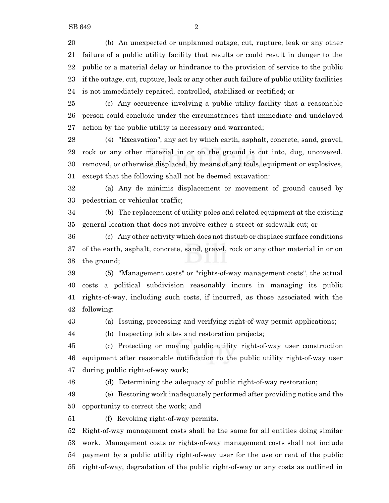(b) An unexpected or unplanned outage, cut, rupture, leak or any other failure of a public utility facility that results or could result in danger to the public or a material delay or hindrance to the provision of service to the public if the outage, cut, rupture, leak or any other such failure of public utility facilities is not immediately repaired, controlled, stabilized or rectified; or

 (c) Any occurrence involving a public utility facility that a reasonable person could conclude under the circumstances that immediate and undelayed action by the public utility is necessary and warranted;

 (4) "Excavation", any act by which earth, asphalt, concrete, sand, gravel, rock or any other material in or on the ground is cut into, dug, uncovered, removed, or otherwise displaced, by means of any tools, equipment or explosives, except that the following shall not be deemed excavation:

 (a) Any de minimis displacement or movement of ground caused by pedestrian or vehicular traffic;

 (b) The replacement of utility poles and related equipment at the existing general location that does not involve either a street or sidewalk cut; or

 (c) Any other activity which does not disturb or displace surface conditions of the earth, asphalt, concrete, sand, gravel, rock or any other material in or on the ground;

 (5) "Management costs" or "rights-of-way management costs", the actual costs a political subdivision reasonably incurs in managing its public rights-of-way, including such costs, if incurred, as those associated with the following:

(a) Issuing, processing and verifying right-of-way permit applications;

(b) Inspecting job sites and restoration projects;

 (c) Protecting or moving public utility right-of-way user construction equipment after reasonable notification to the public utility right-of-way user during public right-of-way work;

(d) Determining the adequacy of public right-of-way restoration;

 (e) Restoring work inadequately performed after providing notice and the opportunity to correct the work; and

(f) Revoking right-of-way permits.

 Right-of-way management costs shall be the same for all entities doing similar work. Management costs or rights-of-way management costs shall not include payment by a public utility right-of-way user for the use or rent of the public right-of-way, degradation of the public right-of-way or any costs as outlined in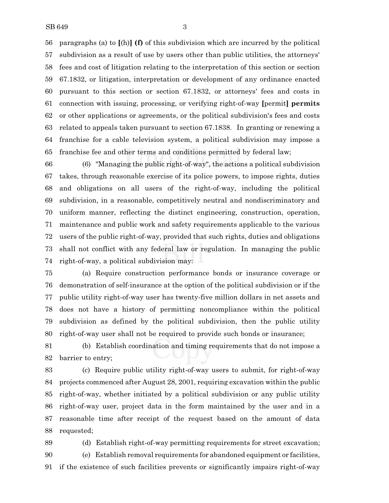paragraphs (a) to **[**(h)**] (f)** of this subdivision which are incurred by the political subdivision as a result of use by users other than public utilities, the attorneys' fees and cost of litigation relating to the interpretation of this section or section 67.1832, or litigation, interpretation or development of any ordinance enacted pursuant to this section or section 67.1832, or attorneys' fees and costs in connection with issuing, processing, or verifying right-of-way **[**permit**] permits** or other applications or agreements, or the political subdivision's fees and costs related to appeals taken pursuant to section 67.1838. In granting or renewing a franchise for a cable television system, a political subdivision may impose a franchise fee and other terms and conditions permitted by federal law;

 (6) "Managing the public right-of-way", the actions a political subdivision takes, through reasonable exercise of its police powers, to impose rights, duties and obligations on all users of the right-of-way, including the political subdivision, in a reasonable, competitively neutral and nondiscriminatory and uniform manner, reflecting the distinct engineering, construction, operation, maintenance and public work and safety requirements applicable to the various users of the public right-of-way, provided that such rights, duties and obligations shall not conflict with any federal law or regulation. In managing the public right-of-way, a political subdivision may:

 (a) Require construction performance bonds or insurance coverage or demonstration of self-insurance at the option of the political subdivision or if the public utility right-of-way user has twenty-five million dollars in net assets and does not have a history of permitting noncompliance within the political subdivision as defined by the political subdivision, then the public utility right-of-way user shall not be required to provide such bonds or insurance;

 (b) Establish coordination and timing requirements that do not impose a barrier to entry;

 (c) Require public utility right-of-way users to submit, for right-of-way projects commenced after August 28, 2001, requiring excavation within the public right-of-way, whether initiated by a political subdivision or any public utility right-of-way user, project data in the form maintained by the user and in a reasonable time after receipt of the request based on the amount of data requested;

(d) Establish right-of-way permitting requirements for street excavation;

(e) Establish removal requirements for abandoned equipment or facilities,

if the existence of such facilities prevents or significantly impairs right-of-way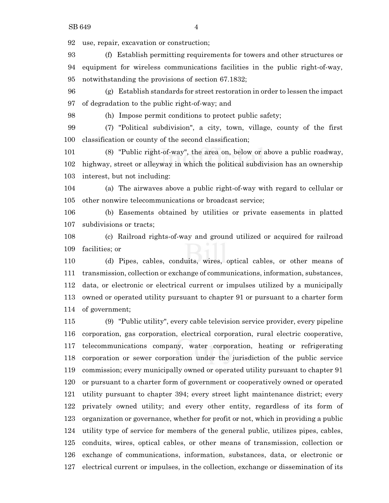use, repair, excavation or construction;

 (f) Establish permitting requirements for towers and other structures or equipment for wireless communications facilities in the public right-of-way, notwithstanding the provisions of section 67.1832;

 (g) Establish standards for street restoration in order to lessen the impact of degradation to the public right-of-way; and

(h) Impose permit conditions to protect public safety;

 (7) "Political subdivision", a city, town, village, county of the first classification or county of the second classification;

 (8) "Public right-of-way", the area on, below or above a public roadway, highway, street or alleyway in which the political subdivision has an ownership interest, but not including:

 (a) The airwaves above a public right-of-way with regard to cellular or other nonwire telecommunications or broadcast service;

 (b) Easements obtained by utilities or private easements in platted subdivisions or tracts;

 (c) Railroad rights-of-way and ground utilized or acquired for railroad facilities; or

 (d) Pipes, cables, conduits, wires, optical cables, or other means of transmission, collection or exchange of communications, information, substances, data, or electronic or electrical current or impulses utilized by a municipally owned or operated utility pursuant to chapter 91 or pursuant to a charter form of government;

 (9) "Public utility", every cable television service provider, every pipeline corporation, gas corporation, electrical corporation, rural electric cooperative, telecommunications company, water corporation, heating or refrigerating corporation or sewer corporation under the jurisdiction of the public service commission; every municipally owned or operated utility pursuant to chapter 91 or pursuant to a charter form of government or cooperatively owned or operated utility pursuant to chapter 394; every street light maintenance district; every privately owned utility; and every other entity, regardless of its form of organization or governance, whether for profit or not, which in providing a public utility type of service for members of the general public, utilizes pipes, cables, conduits, wires, optical cables, or other means of transmission, collection or exchange of communications, information, substances, data, or electronic or electrical current or impulses, in the collection, exchange or dissemination of its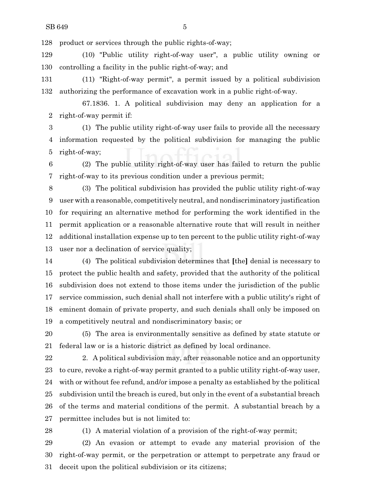product or services through the public rights-of-way;

 (10) "Public utility right-of-way user", a public utility owning or controlling a facility in the public right-of-way; and

 (11) "Right-of-way permit", a permit issued by a political subdivision authorizing the performance of excavation work in a public right-of-way.

67.1836. 1. A political subdivision may deny an application for a right-of-way permit if:

 (1) The public utility right-of-way user fails to provide all the necessary information requested by the political subdivision for managing the public right-of-way;

 (2) The public utility right-of-way user has failed to return the public right-of-way to its previous condition under a previous permit;

 (3) The political subdivision has provided the public utility right-of-way user with a reasonable, competitively neutral, and nondiscriminatory justification for requiring an alternative method for performing the work identified in the permit application or a reasonable alternative route that will result in neither additional installation expense up to ten percent to the public utility right-of-way user nor a declination of service quality;

 (4) The political subdivision determines that **[**the**]** denial is necessary to protect the public health and safety, provided that the authority of the political subdivision does not extend to those items under the jurisdiction of the public service commission, such denial shall not interfere with a public utility's right of eminent domain of private property, and such denials shall only be imposed on a competitively neutral and nondiscriminatory basis; or

 (5) The area is environmentally sensitive as defined by state statute or federal law or is a historic district as defined by local ordinance.

22 2. A political subdivision may, after reasonable notice and an opportunity to cure, revoke a right-of-way permit granted to a public utility right-of-way user, with or without fee refund, and/or impose a penalty as established by the political subdivision until the breach is cured, but only in the event of a substantial breach of the terms and material conditions of the permit. A substantial breach by a permittee includes but is not limited to:

(1) A material violation of a provision of the right-of-way permit;

 (2) An evasion or attempt to evade any material provision of the right-of-way permit, or the perpetration or attempt to perpetrate any fraud or deceit upon the political subdivision or its citizens;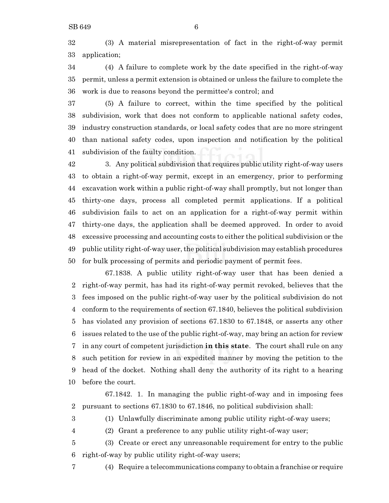(3) A material misrepresentation of fact in the right-of-way permit application;

 (4) A failure to complete work by the date specified in the right-of-way permit, unless a permit extension is obtained or unless the failure to complete the work is due to reasons beyond the permittee's control; and

 (5) A failure to correct, within the time specified by the political subdivision, work that does not conform to applicable national safety codes, industry construction standards, or local safety codes that are no more stringent than national safety codes, upon inspection and notification by the political subdivision of the faulty condition.

 3. Any political subdivision that requires public utility right-of-way users to obtain a right-of-way permit, except in an emergency, prior to performing excavation work within a public right-of-way shall promptly, but not longer than thirty-one days, process all completed permit applications. If a political subdivision fails to act on an application for a right-of-way permit within thirty-one days, the application shall be deemed approved. In order to avoid excessive processing and accounting costs to either the political subdivision or the public utility right-of-way user,the political subdivision may establish procedures for bulk processing of permits and periodic payment of permit fees.

67.1838. A public utility right-of-way user that has been denied a right-of-way permit, has had its right-of-way permit revoked, believes that the fees imposed on the public right-of-way user by the political subdivision do not conform to the requirements of section 67.1840, believes the political subdivision has violated any provision of sections 67.1830 to 67.1848, or asserts any other issues related to the use of the public right-of-way, may bring an action for review in any court of competent jurisdiction **in this state**. The court shall rule on any such petition for review in an expedited manner by moving the petition to the head of the docket. Nothing shall deny the authority of its right to a hearing before the court.

67.1842. 1. In managing the public right-of-way and in imposing fees pursuant to sections 67.1830 to 67.1846, no political subdivision shall:

(1) Unlawfully discriminate among public utility right-of-way users;

(2) Grant a preference to any public utility right-of-way user;

 (3) Create or erect any unreasonable requirement for entry to the public right-of-way by public utility right-of-way users;

(4) Require a telecommunications company to obtain a franchise or require